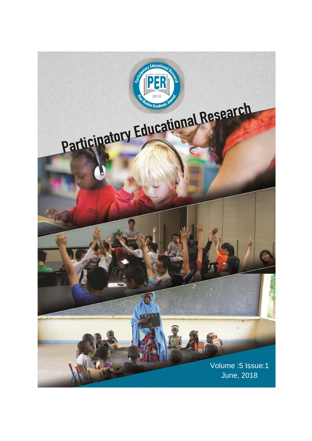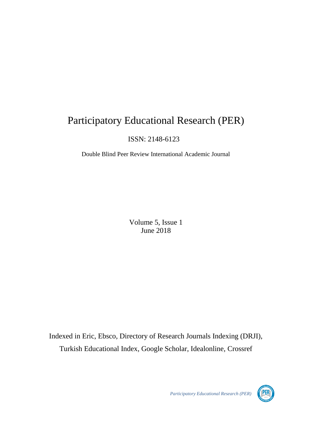# Participatory Educational Research (PER)

ISSN: 2148-6123

Double Blind Peer Review International Academic Journal

Volume 5, Issue 1 June 2018

Indexed in Eric, Ebsco, Directory of Research Journals Indexing (DRJI), Turkish Educational Index, Google Scholar, Idealonline, Crossref

*Participatory Educational Research (PER)*

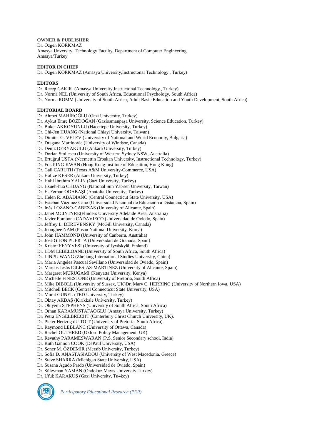**OWNER & PUBLISHER** Dr. Özgen KORKMAZ Amasya Unversity, Technology Faculty, Department of Computer Engineering Amasya/Turkey

# **EDITOR IN CHIEF**

Dr. Özgen KORKMAZ (Amasya University,Instructonal Technology , Turkey)

#### **EDITORS**

Dr. Recep ÇAKIR (Amasya University,Instructonal Technology , Turkey)

Dr. Norma NEL (University of South Africa, Educational Psychology, South Africa)

Dr. Norma ROMM (University of South Africa, Adult Basic Education and Youth Development, South Africa)

#### **EDITORIAL BOARD**

Dr. Ahmet MAHİROĞLU (Gazi University, Turkey) Dr. Aykut Emre BOZDOĞAN (Gaziosmanpaşa University, Science Education, Turkey)

Dr. Buket AKKOYUNLU (Hacettepe University, Turkey)

Dr. Chi-Jen HUANG (National Chiayi University, Taiwan)

Dr. Dimiter G. VELEV (University of National and World Economy, Bulgaria)

Dr. Dragana Martinovic (University of Windsor, Canada)

Dr. Deniz DERYAKULU (Ankara University, Turkey)

Dr. Dorian Stoilescu (University of Western Sydney NSW, Australia)

Dr. Ertuğrul USTA (Necmettin Erbakan University, Instructional Technology, Turkey)

Dr. Fok PING-KWAN (Hong Kong Institute of Education, Hong Kong)

Dr. Gail CARUTH (Texas A&M University-Commerce, USA)

Dr. Hafize KESER (Ankara University, Turkey)

Dr. Halil İbrahim YALIN (Gazi University, Turkey)

Dr. Hsueh-hua CHUANG (National Sun Yat-sen University, Taiwan)

Dr. H. Ferhan ODABAŞI (Anatolia University, Turkey)

Dr. Helen R. ABADIANO (Central Connecticut State University, USA)

Dr. Esteban Vazquez Cano (Universidad Nacional de Educación a Distancia, Spain)

Dr. Inés LOZANO-CABEZAS (University of Alicante, Spain)

Dr. Janet MCINTYRE(Flinders University Adelaide Area, Australia)

Dr. Javier Fombona CADAVIECO (Universidad de Oviedo, Spain)

Dr. Jeffrey L. DEREVENSKY (McGill University, Canada)

Dr. Jeonghee NAM (Pusan National University, Korea)

Dr. John HAMMOND (University of Canberra, Australia)

Dr. José GIJON PUERTA (Universidad de Granada, Spain)

Dr. Kristóf FENYVESI (University of Jyväskylä, Finland)

Dr. LDM LEBELOANE (University of South Africa, South Africa)

Dr. LINPU WANG (Zhejiang International Studies University, China)

Dr. Maria Angeles Pascual Sevillano (Universidad de Oviedo, Spain)

Dr. Marcos Jesús IGLESIAS-MARTINEZ (University of Alicante, Spain)

Dr. Margaret MURUGAMI (Kenyatta University, Kenya)

Dr. Michelle FINESTONE (University of Pretoria, South Africa)

Dr. Mike DIBOLL (University of Sussex, UK)Dr. Mary C. HERRING (University of Northern Iowa, USA)

Dr. Mitchell BECK (Central Connecticut State University, USA)

Dr. Murat GUNEL (TED University, Turkey)

Dr. Oktay AKBAŞ (Kırıkkale University, Turkey)

Dr. Oluyemi STEPHENS (University of South Africa, South Africa)

Dr. Orhan KARAMUSTAFAOĞLU (Amasya University, Turkey)

Dr. Petra ENGELBRECHT (Canterbury Christ Church University, UK).

Dr. Pieter Hertzog dU TOIT (University of Pretoria, South Africa).

Dr. Raymond LEBLANC (University of Ottawa, Canada)

Dr. Rachel OUTHRED (Oxford Policy Management, UK)

Dr. Revathy PARAMESWARAN (P.S. Senior Secondary school, India)

Dr. Ruth Gannon COOK (DePaul University, USA)

Dr. Soner M. ÖZDEMİR (Mersib University, Turkey)

Dr. Sofia D. ANASTASIADOU (University of West Macedonia, Greece)

Dr. Steve SHARRA (Michigan State University, USA)

Dr. Susana Agudo Prado (Universidad de Oviedo, Spain)

Dr. Süleyman YAMAN (Ondokuz Mayıs University,Turkey)

Dr. Ufuk KARAKUŞ (Gazi University, Tu4key)



*Participatory Educational Research (PER)*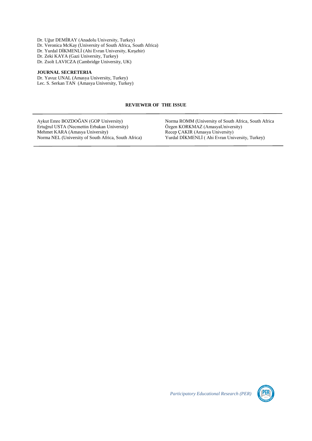Dr. Uğur DEMİRAY (Anadolu University, Turkey) Dr. Veronica McKay (University of South Africa, South Africa) Dr. Yurdal DİKMENLİ (Ahi Evran University, Kırşehir) Dr. Zeki KAYA (Gazi University, Turkey) Dr. Zsolt LAVICZA (Cambridge University, UK)

## **JOURNAL SECRETERIA**

Dr. Yavuz UNAL (Amasya University, Turkey) Lec. S. Serkan TAN (Amasya University, Turkey)

## **REVIEWER OF THE ISSUE**

Aykut Emre BOZDOĞAN (GOP University) Ertuğrul USTA (Necmettin Erbakan University) Mehmet KARA (Amasya University) Norma NEL (University of South Africa, South Africa) Norma ROMM (University of South Africa, South Africa Özgen KORKMAZ (AmasyaUniversity) Recep ÇAKIR (Amasya University) Yurdal DİKMENLİ ( Ahi Evran University, Turkey)